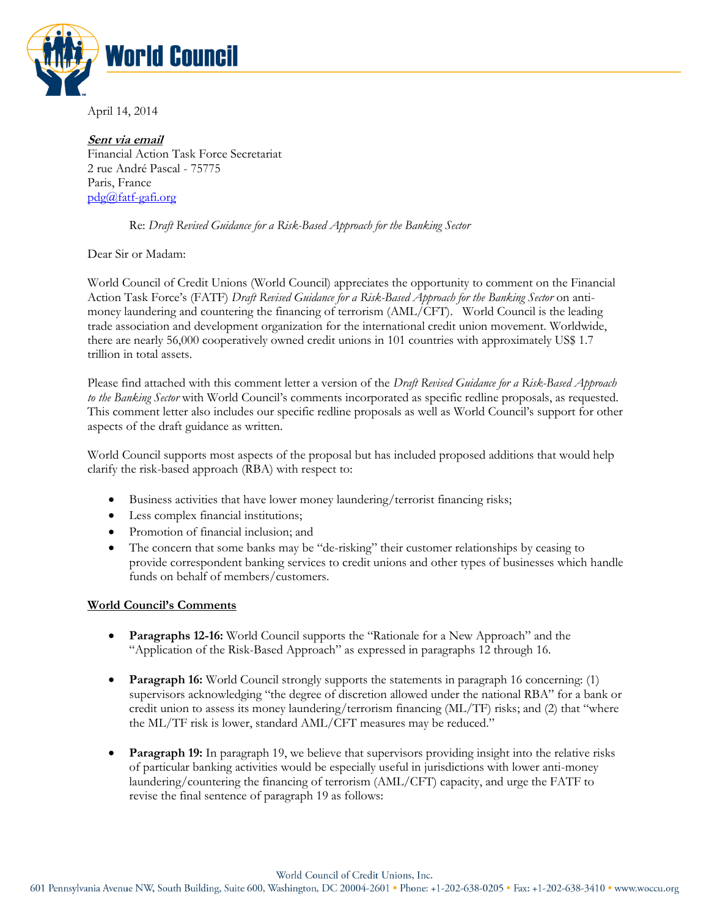

April 14, 2014

**Sent via email**  Financial Action Task Force Secretariat 2 rue André Pascal - 75775 Paris, France [pdg@fatf-gafi.org](mailto:pdg@fatf-gafi.org)

## Re: *Draft Revised Guidance for a Risk-Based Approach for the Banking Sector*

Dear Sir or Madam:

World Council of Credit Unions (World Council) appreciates the opportunity to comment on the Financial Action Task Force's (FATF) *Draft Revised Guidance for a Risk-Based Approach for the Banking Sector* on antimoney laundering and countering the financing of terrorism (AML/CFT).World Council is the leading trade association and development organization for the international credit union movement. Worldwide, there are nearly 56,000 cooperatively owned credit unions in 101 countries with approximately US\$ 1.7 trillion in total assets.

Please find attached with this comment letter a version of the *Draft Revised Guidance for a Risk-Based Approach to the Banking Sector* with World Council's comments incorporated as specific redline proposals, as requested. This comment letter also includes our specific redline proposals as well as World Council's support for other aspects of the draft guidance as written.

World Council supports most aspects of the proposal but has included proposed additions that would help clarify the risk-based approach (RBA) with respect to:

- Business activities that have lower money laundering/terrorist financing risks;
- Less complex financial institutions;
- Promotion of financial inclusion; and
- The concern that some banks may be "de-risking" their customer relationships by ceasing to provide correspondent banking services to credit unions and other types of businesses which handle funds on behalf of members/customers.

## **World Council's Comments**

- **Paragraphs 12-16:** World Council supports the "Rationale for a New Approach" and the "Application of the Risk-Based Approach" as expressed in paragraphs 12 through 16.
- **Paragraph 16:** World Council strongly supports the statements in paragraph 16 concerning: (1) supervisors acknowledging "the degree of discretion allowed under the national RBA" for a bank or credit union to assess its money laundering/terrorism financing (ML/TF) risks; and (2) that "where the ML/TF risk is lower, standard AML/CFT measures may be reduced."
- **Paragraph 19:** In paragraph 19, we believe that supervisors providing insight into the relative risks of particular banking activities would be especially useful in jurisdictions with lower anti-money laundering/countering the financing of terrorism (AML/CFT) capacity, and urge the FATF to revise the final sentence of paragraph 19 as follows:

World Council of Credit Unions, Inc.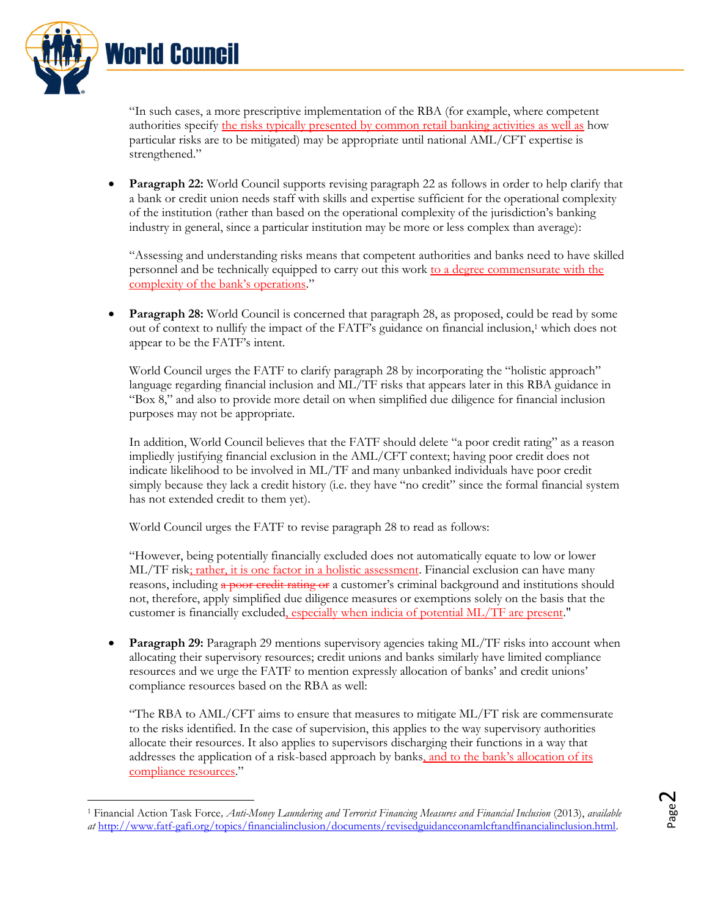

 $\overline{a}$ 

"In such cases, a more prescriptive implementation of the RBA (for example, where competent authorities specify the risks typically presented by common retail banking activities as well as how particular risks are to be mitigated) may be appropriate until national AML/CFT expertise is strengthened."

 **Paragraph 22:** World Council supports revising paragraph 22 as follows in order to help clarify that a bank or credit union needs staff with skills and expertise sufficient for the operational complexity of the institution (rather than based on the operational complexity of the jurisdiction's banking industry in general, since a particular institution may be more or less complex than average):

"Assessing and understanding risks means that competent authorities and banks need to have skilled personnel and be technically equipped to carry out this work to a degree commensurate with the complexity of the bank's operations."

• **Paragraph 28:** World Council is concerned that paragraph 28, as proposed, could be read by some out of context to nullify the impact of the FATF's guidance on financial inclusion,<sup>1</sup> which does not appear to be the FATF's intent.

World Council urges the FATF to clarify paragraph 28 by incorporating the "holistic approach" language regarding financial inclusion and ML/TF risks that appears later in this RBA guidance in "Box 8," and also to provide more detail on when simplified due diligence for financial inclusion purposes may not be appropriate.

In addition, World Council believes that the FATF should delete "a poor credit rating" as a reason impliedly justifying financial exclusion in the AML/CFT context; having poor credit does not indicate likelihood to be involved in ML/TF and many unbanked individuals have poor credit simply because they lack a credit history (i.e. they have "no credit" since the formal financial system has not extended credit to them yet).

World Council urges the FATF to revise paragraph 28 to read as follows:

"However, being potentially financially excluded does not automatically equate to low or lower ML/TF risk; rather, it is one factor in a holistic assessment. Financial exclusion can have many reasons, including a poor credit rating or a customer's criminal background and institutions should not, therefore, apply simplified due diligence measures or exemptions solely on the basis that the customer is financially excluded, especially when indicia of potential ML/TF are present."

**Paragraph 29:** Paragraph 29 mentions supervisory agencies taking ML/TF risks into account when allocating their supervisory resources; credit unions and banks similarly have limited compliance resources and we urge the FATF to mention expressly allocation of banks' and credit unions' compliance resources based on the RBA as well:

"The RBA to AML/CFT aims to ensure that measures to mitigate ML/FT risk are commensurate to the risks identified. In the case of supervision, this applies to the way supervisory authorities allocate their resources. It also applies to supervisors discharging their functions in a way that addresses the application of a risk-based approach by banks, and to the bank's allocation of its compliance resources."

<sup>1</sup> Financial Action Task Force*, Anti-Money Laundering and Terrorist Financing Measures and Financial Inclusion* (2013), *available at* [http://www.fatf-gafi.org/topics/financialinclusion/documents/revisedguidanceonamlcftandfinancialinclusion.html.](http://www.fatf-gafi.org/topics/financialinclusion/documents/revisedguidanceonamlcftandfinancialinclusion.html)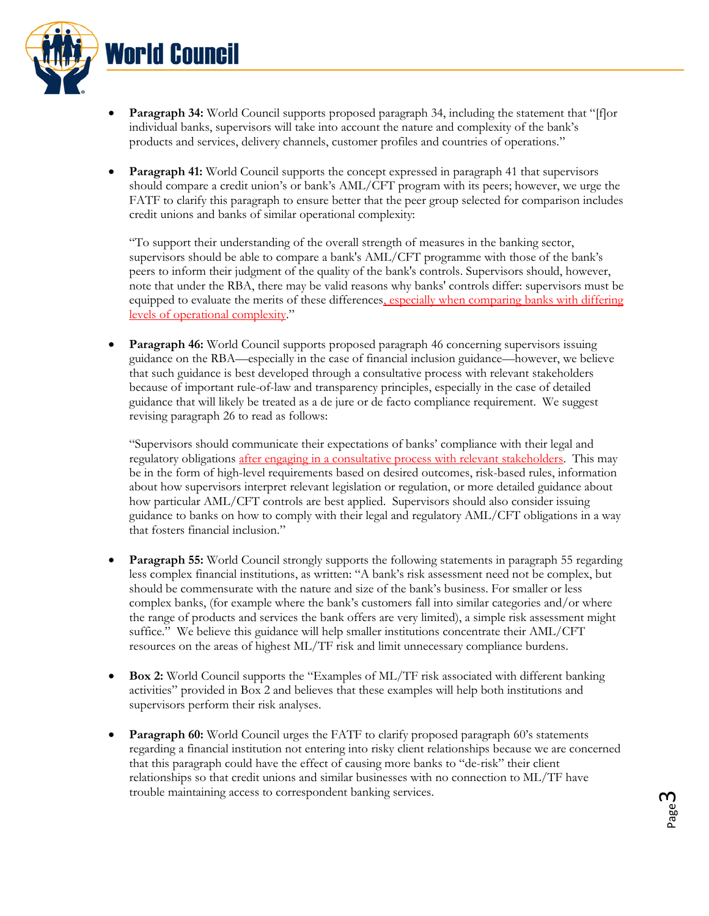

- **Paragraph 34:** World Council supports proposed paragraph 34, including the statement that "[f]or individual banks, supervisors will take into account the nature and complexity of the bank's products and services, delivery channels, customer profiles and countries of operations."
- **Paragraph 41:** World Council supports the concept expressed in paragraph 41 that supervisors should compare a credit union's or bank's AML/CFT program with its peers; however, we urge the FATF to clarify this paragraph to ensure better that the peer group selected for comparison includes credit unions and banks of similar operational complexity:

"To support their understanding of the overall strength of measures in the banking sector, supervisors should be able to compare a bank's AML/CFT programme with those of the bank's peers to inform their judgment of the quality of the bank's controls. Supervisors should, however, note that under the RBA, there may be valid reasons why banks' controls differ: supervisors must be equipped to evaluate the merits of these differences, especially when comparing banks with differing levels of operational complexity."

**Paragraph 46:** World Council supports proposed paragraph 46 concerning supervisors issuing guidance on the RBA—especially in the case of financial inclusion guidance—however, we believe that such guidance is best developed through a consultative process with relevant stakeholders because of important rule-of-law and transparency principles, especially in the case of detailed guidance that will likely be treated as a de jure or de facto compliance requirement. We suggest revising paragraph 26 to read as follows:

"Supervisors should communicate their expectations of banks' compliance with their legal and regulatory obligations after engaging in a consultative process with relevant stakeholders. This may be in the form of high-level requirements based on desired outcomes, risk-based rules, information about how supervisors interpret relevant legislation or regulation, or more detailed guidance about how particular AML/CFT controls are best applied. Supervisors should also consider issuing guidance to banks on how to comply with their legal and regulatory AML/CFT obligations in a way that fosters financial inclusion."

- **Paragraph 55:** World Council strongly supports the following statements in paragraph 55 regarding less complex financial institutions, as written: "A bank's risk assessment need not be complex, but should be commensurate with the nature and size of the bank's business. For smaller or less complex banks, (for example where the bank's customers fall into similar categories and/or where the range of products and services the bank offers are very limited), a simple risk assessment might suffice." We believe this guidance will help smaller institutions concentrate their AML/CFT resources on the areas of highest ML/TF risk and limit unnecessary compliance burdens.
- **Box 2:** World Council supports the "Examples of ML/TF risk associated with different banking activities" provided in Box 2 and believes that these examples will help both institutions and supervisors perform their risk analyses.
- **Paragraph 60:** World Council urges the FATF to clarify proposed paragraph 60's statements regarding a financial institution not entering into risky client relationships because we are concerned that this paragraph could have the effect of causing more banks to "de-risk" their client relationships so that credit unions and similar businesses with no connection to ML/TF have trouble maintaining access to correspondent banking services.